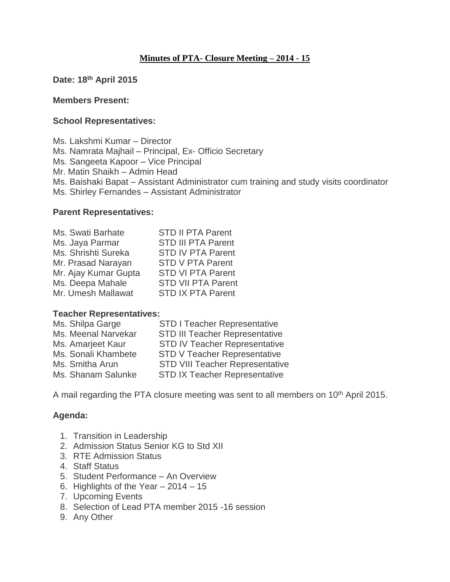### **Minutes of PTA- Closure Meeting – 2014 - 15**

**Date: 18th April 2015**

#### **Members Present:**

#### **School Representatives:**

Ms. Lakshmi Kumar – Director Ms. Namrata Majhail – Principal, Ex- Officio Secretary Ms. Sangeeta Kapoor – Vice Principal Mr. Matin Shaikh – Admin Head Ms. Baishaki Bapat – Assistant Administrator cum training and study visits coordinator Ms. Shirley Fernandes – Assistant Administrator

#### **Parent Representatives:**

| Ms. Swati Barhate    | <b>STD II PTA Parent</b>  |
|----------------------|---------------------------|
| Ms. Jaya Parmar      | <b>STD III PTA Parent</b> |
| Ms. Shrishti Sureka  | <b>STD IV PTA Parent</b>  |
| Mr. Prasad Narayan   | <b>STD V PTA Parent</b>   |
| Mr. Ajay Kumar Gupta | <b>STD VI PTA Parent</b>  |
| Ms. Deepa Mahale     | <b>STD VII PTA Parent</b> |
| Mr. Umesh Mallawat   | <b>STD IX PTA Parent</b>  |

#### **Teacher Representatives:**

| <b>STD I Teacher Representative</b>    |
|----------------------------------------|
| <b>STD III Teacher Representative</b>  |
| <b>STD IV Teacher Representative</b>   |
| <b>STD V Teacher Representative</b>    |
| <b>STD VIII Teacher Representative</b> |
| <b>STD IX Teacher Representative</b>   |
|                                        |

A mail regarding the PTA closure meeting was sent to all members on 10<sup>th</sup> April 2015.

### **Agenda:**

- 1. Transition in Leadership
- 2. Admission Status Senior KG to Std XII
- 3. RTE Admission Status
- 4. Staff Status
- 5. Student Performance An Overview
- 6. Highlights of the Year 2014 15
- 7. Upcoming Events
- 8. Selection of Lead PTA member 2015 -16 session
- 9. Any Other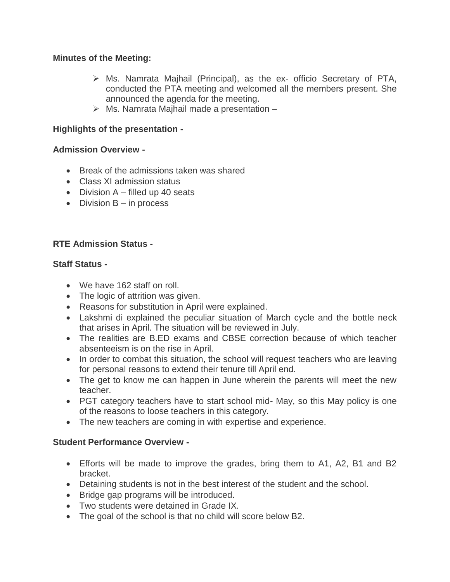### **Minutes of the Meeting:**

- $\triangleright$  Ms. Namrata Majhail (Principal), as the ex- officio Secretary of PTA, conducted the PTA meeting and welcomed all the members present. She announced the agenda for the meeting.
- $\triangleright$  Ms. Namrata Majhail made a presentation  $-$

# **Highlights of the presentation -**

# **Admission Overview -**

- Break of the admissions taken was shared
- Class XI admission status
- Division  $A$  filled up 40 seats
- $\bullet$  Division B in process

# **RTE Admission Status -**

### **Staff Status -**

- We have 162 staff on roll.
- The logic of attrition was given.
- Reasons for substitution in April were explained.
- Lakshmi di explained the peculiar situation of March cycle and the bottle neck that arises in April. The situation will be reviewed in July.
- The realities are B.ED exams and CBSE correction because of which teacher absenteeism is on the rise in April.
- In order to combat this situation, the school will request teachers who are leaving for personal reasons to extend their tenure till April end.
- The get to know me can happen in June wherein the parents will meet the new teacher.
- PGT category teachers have to start school mid- May, so this May policy is one of the reasons to loose teachers in this category.
- The new teachers are coming in with expertise and experience.

# **Student Performance Overview -**

- Efforts will be made to improve the grades, bring them to A1, A2, B1 and B2 bracket.
- Detaining students is not in the best interest of the student and the school.
- Bridge gap programs will be introduced.
- Two students were detained in Grade IX.
- The goal of the school is that no child will score below B2.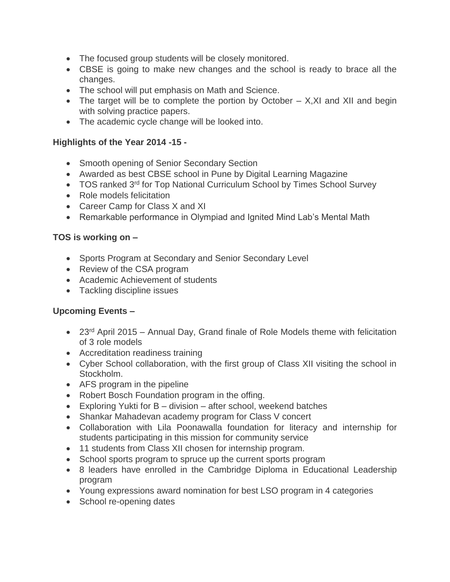- The focused group students will be closely monitored.
- CBSE is going to make new changes and the school is ready to brace all the changes.
- The school will put emphasis on Math and Science.
- The target will be to complete the portion by October  $-$  X, XI and XII and begin with solving practice papers.
- The academic cycle change will be looked into.

### **Highlights of the Year 2014 -15 -**

- Smooth opening of Senior Secondary Section
- Awarded as best CBSE school in Pune by Digital Learning Magazine
- TOS ranked 3<sup>rd</sup> for Top National Curriculum School by Times School Survey
- Role models felicitation
- Career Camp for Class X and XI
- Remarkable performance in Olympiad and Ignited Mind Lab's Mental Math

### **TOS is working on –**

- Sports Program at Secondary and Senior Secondary Level
- Review of the CSA program
- Academic Achievement of students
- Tackling discipline issues

# **Upcoming Events –**

- 23<sup>rd</sup> April 2015 Annual Day, Grand finale of Role Models theme with felicitation of 3 role models
- Accreditation readiness training
- Cyber School collaboration, with the first group of Class XII visiting the school in Stockholm.
- AFS program in the pipeline
- Robert Bosch Foundation program in the offing.
- Exploring Yukti for  $B -$  division  $-$  after school, weekend batches
- Shankar Mahadevan academy program for Class V concert
- Collaboration with Lila Poonawalla foundation for literacy and internship for students participating in this mission for community service
- 11 students from Class XII chosen for internship program.
- School sports program to spruce up the current sports program
- 8 leaders have enrolled in the Cambridge Diploma in Educational Leadership program
- Young expressions award nomination for best LSO program in 4 categories
- School re-opening dates